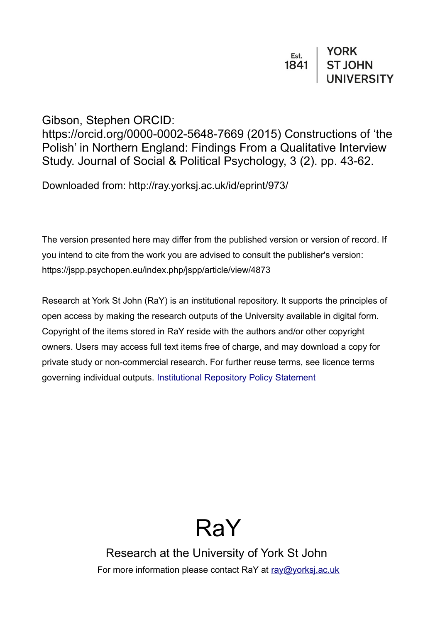# $\begin{array}{c|c} \n \texttt{Est.} & \texttt{YORK} \\
\texttt{1841} & \texttt{ST JOHN} \\
& \texttt{UNIVERSITY}\n \end{array}$

# Gibson, Stephen ORCID:

https://orcid.org/0000-0002-5648-7669 (2015) Constructions of 'the Polish' in Northern England: Findings From a Qualitative Interview Study. Journal of Social & Political Psychology, 3 (2). pp. 43-62.

Downloaded from: http://ray.yorksj.ac.uk/id/eprint/973/

The version presented here may differ from the published version or version of record. If you intend to cite from the work you are advised to consult the publisher's version: https://jspp.psychopen.eu/index.php/jspp/article/view/4873

Research at York St John (RaY) is an institutional repository. It supports the principles of open access by making the research outputs of the University available in digital form. Copyright of the items stored in RaY reside with the authors and/or other copyright owners. Users may access full text items free of charge, and may download a copy for private study or non-commercial research. For further reuse terms, see licence terms governing individual outputs. [Institutional Repository Policy Statement](https://www.yorksj.ac.uk/ils/repository-policies/)

# RaY

Research at the University of York St John For more information please contact RaY at [ray@yorksj.ac.uk](mailto:ray@yorksj.ac.uk)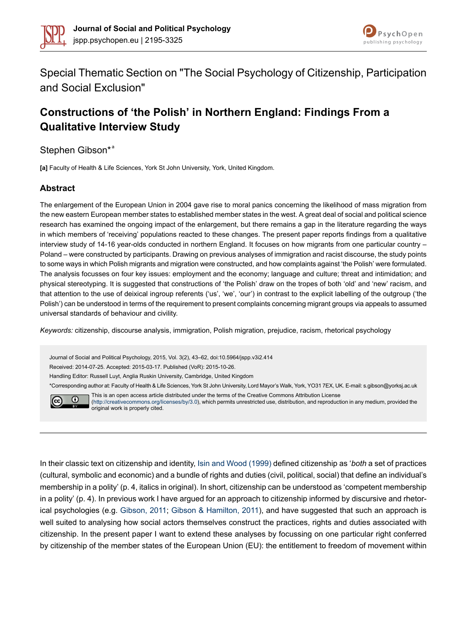



Special Thematic Section on "The Social Psychology of Citizenship, Participation and Social Exclusion"

# **Constructions of 'the Polish' in Northern England: Findings From a Qualitative Interview Study**

Stephen Gibson\*<sup>a</sup>

**[a]** Faculty of Health & Life Sciences, York St John University, York, United Kingdom.

#### **Abstract**

The enlargement of the European Union in 2004 gave rise to moral panics concerning the likelihood of mass migration from the new eastern European member states to established member states in the west. A great deal of social and political science research has examined the ongoing impact of the enlargement, but there remains a gap in the literature regarding the ways in which members of 'receiving' populations reacted to these changes. The present paper reports findings from a qualitative interview study of 14-16 year-olds conducted in northern England. It focuses on how migrants from one particular country – Poland – were constructed by participants. Drawing on previous analyses of immigration and racist discourse, the study points to some ways in which Polish migrants and migration were constructed, and how complaints against 'the Polish' were formulated. The analysis focusses on four key issues: employment and the economy; language and culture; threat and intimidation; and physical stereotyping. It is suggested that constructions of 'the Polish' draw on the tropes of both 'old' and 'new' racism, and that attention to the use of deixical ingroup referents ('us', 'we', 'our') in contrast to the explicit labelling of the outgroup ('the Polish') can be understood in terms of the requirement to present complaints concerning migrant groups via appeals to assumed universal standards of behaviour and civility.

*Keywords:* citizenship, discourse analysis, immigration, Polish migration, prejudice, racism, rhetorical psychology

Journal of Social and Political Psychology, 2015, Vol. 3(2), 43–62, doi:10.5964/jspp.v3i2.414 Received: 2014-07-25. Accepted: 2015-03-17. Published (VoR): 2015-10-26. Handling Editor: Russell Luyt, Anglia Ruskin University, Cambridge, United Kingdom

\*Corresponding author at: Faculty of Health & Life Sciences, York St John University, Lord Mayor's Walk, York, YO31 7EX, UK. E-mail: s.gibson@yorksj.ac.uk This is an open access article distributed under the terms of the Creative Commons Attribution License



[\(http://creativecommons.org/licenses/by/3.0\)](http://creativecommons.org/licenses/by/3.0), which permits unrestricted use, distribution, and reproduction in any medium, provided the original work is properly cited.

In their classic text on citizenship and identity, Isin and Wood [\(1999\)](#page-18-0) defined citizenship as '*both* a set of practices (cultural, symbolic and economic) and a bundle of rights and duties (civil, political, social) that define an individual's membership in a polity' (p. 4, italics in original). In short, citizenship can be understood as 'competent membership in a polity' (p. 4). In previous work I have argued for an approach to citizenship informed by discursive and rhetorical psychologies (e.g. [Gibson,](#page-18-1) 2011; Gibson & [Hamilton,](#page-18-2) 2011), and have suggested that such an approach is well suited to analysing how social actors themselves construct the practices, rights and duties associated with citizenship. In the present paper I want to extend these analyses by focussing on one particular right conferred by citizenship of the member states of the European Union (EU): the entitlement to freedom of movement within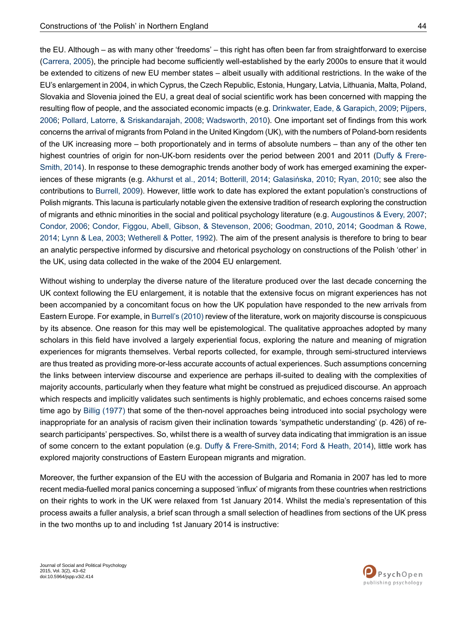the EU. Although – as with many other 'freedoms' – this right has often been far from straightforward to exercise [\(Carrera,](#page-17-0) 2005), the principle had become sufficiently well-established by the early 2000s to ensure that it would be extended to citizens of new EU member states – albeit usually with additional restrictions. In the wake of the EU'senlargement in2004, in which Cyprus, the Czech Republic, Estonia, Hungary,Latvia,Lithuania, Malta, Poland, Slovakia and Slovenia joined the EU, a great deal of social scientific work has been concerned with mapping the resulting flow of people, and the associated economic impacts (e.g. [Drinkwater,](#page-17-1) Eade, & Garapich, 2009; [Pijpers,](#page-19-0) [2006](#page-19-0); Pollard, Latorre, & [Sriskandarajah,](#page-19-1) 2008; [Wadsworth,](#page-20-0) 2010). One important set of findings from this work concerns the arrival of migrants from Poland in the United Kingdom (UK), with the numbers of Poland-born residents of the UK increasing more – both proportionately and in terms of absolute numbers – than any of the other ten highest countries of origin for non-UK-born residents over the period between 2001 and 2011 (Duffy & [Frere-](#page-17-2)[Smith,](#page-17-2) 2014). In response to these demographic trends another body of work has emerged examining the experiences of these migrants (e.g. [Akhurst](#page-16-0) et al., 2014; [Botterill,](#page-17-3) 2014; [Galasińska,](#page-18-3) 2010; [Ryan,](#page-19-2) 2010; see also the contributions to [Burrell,](#page-17-4) 2009). However, little work to date has explored the extant population's constructions of Polish migrants. This lacuna is particularly notable given the extensive tradition of research exploring the construction of migrants and ethnic minorities in the social and political psychology literature (e.g. [Augoustinos](#page-16-1) & Every, 2007; [Condor,](#page-17-5) 2006; Condor, Figgou, Abell, Gibson, & [Stevenson,](#page-17-6) 2006; [Goodman,](#page-18-4) 2010, [2014](#page-18-5); [Goodman](#page-18-6) & Rowe, [2014](#page-18-6); Lynn & Lea, [2003](#page-19-3); [Wetherell](#page-20-1) & Potter, 1992). The aim of the present analysis is therefore to bring to bear an analytic perspective informed by discursive and rhetorical psychology on constructions of the Polish 'other' in the UK, using data collected in the wake of the 2004 EU enlargement.

Without wishing to underplay the diverse nature of the literature produced over the last decade concerning the UK context following the EU enlargement, it is notable that the extensive focus on migrant experiences has not been accompanied by a concomitant focus on how the UK population have responded to the new arrivals from Eastern Europe. For example, in [Burrell's](#page-17-7) (2010) review of the literature, work on majority discourse is conspicuous by its absence. One reason for this may well be epistemological. The qualitative approaches adopted by many scholars in this field have involved a largely experiential focus, exploring the nature and meaning of migration experiences for migrants themselves. Verbal reports collected, for example, through semi-structured interviews are thus treated as providing more-or-less accurate accounts of actual experiences. Such assumptions concerning the links between interview discourse and experience are perhaps ill-suited to dealing with the complexities of majority accounts, particularly when they feature what might be construed as prejudiced discourse. An approach which respects and implicitly validates such sentiments is highly problematic, and echoes concerns raised some time ago by Billig [\(1977\)](#page-16-2) that some of the then-novel approaches being introduced into social psychology were inappropriate for an analysis of racism given their inclination towards 'sympathetic understanding' (p. 426) of research participants' perspectives. So, whilst there is a wealth of survey data indicating that immigration is an issue of some concern to the extant population (e.g. Duffy & [Frere-Smith,](#page-17-2) 2014; Ford & [Heath,](#page-18-7) 2014), little work has explored majority constructions of Eastern European migrants and migration.

Moreover, the further expansion of the EU with the accession of Bulgaria and Romania in 2007 has led to more recent media-fuelled moral panics concerning a supposed 'influx' of migrants from these countries when restrictions on their rights to work in the UK were relaxed from 1st January 2014. Whilst the media's representation of this process awaits a fuller analysis, a brief scan through a small selection of headlines from sections of the UK press in the two months up to and including 1st January 2014 is instructive:

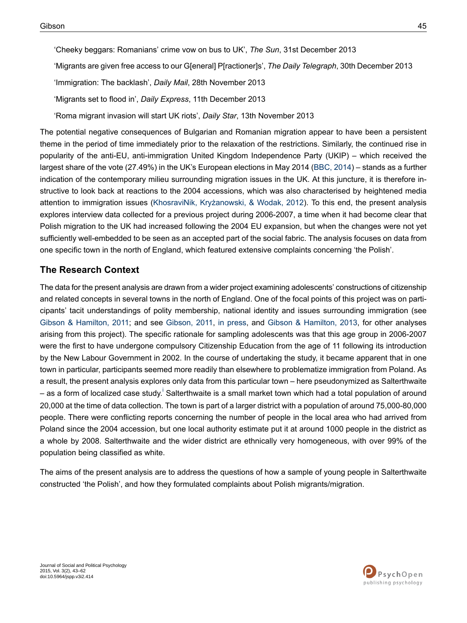'Cheeky beggars: Romanians' crime vow on bus to UK', *The Sun*, 31st December 2013

'Migrants are given free access to our G[eneral] P[ractioner]s', *The Daily Telegraph*, 30th December 2013

'Immigration: The backlash', *Daily Mail*, 28th November 2013

'Migrants set to flood in', *Daily Express*, 11th December 2013

'Roma migrant invasion will start UK riots', *Daily Star*, 13th November 2013

The potential negative consequences of Bulgarian and Romanian migration appear to have been a persistent theme in the period of time immediately prior to the relaxation of the restrictions. Similarly, the continued rise in popularity of the anti-EU, anti-immigration United Kingdom Independence Party (UKIP) – which received the largest share of the vote (27.49%) in the UK's European elections in May 2014 [\(BBC,](#page-16-3) 2014) – stands as a further indication of the contemporary milieu surrounding migration issues in the UK. At this juncture, it is therefore instructive to look back at reactions to the 2004 accessions, which was also characterised by heightened media attention to immigration issues (KhosraviNik, [Kryżanowski,](#page-18-8) & Wodak, 2012). To this end, the present analysis explores interview data collected for a previous project during 2006-2007, a time when it had become clear that Polish migration to the UK had increased following the 2004 EU expansion, but when the changes were not yet sufficiently well-embedded to be seen as an accepted part of the social fabric. The analysis focuses on data from one specific town in the north of England, which featured extensive complaints concerning 'the Polish'.

# **The Research Context**

The data for the present analysis are drawn from a wider project examining adolescents' constructions of citizenship and related concepts in several towns in the north of England. One of the focal points of this project was on participants' tacit understandings of polity membership, national identity and issues surrounding immigration (see Gibson & [Hamilton,](#page-18-2) 2011; and see [Gibson,](#page-18-1) 2011, in [press](#page-18-9), and Gibson & [Hamilton,](#page-18-10) 2013, for other analyses arising from this project). The specific rationale for sampling adolescents was that this age group in 2006-2007 were the first to have undergone compulsory Citizenship Education from the age of 11 following its introduction by the New Labour Government in 2002. In the course of undertaking the study, it became apparent that in one town in particular, participants seemed more readily than elsewhere to problematize immigration from Poland. As a result, the present analysis explores only data from this particular town – here pseudonymized as Salterthwaite – as a form of local[i](#page-15-0)zed case study.<sup>i</sup> Salterthwaite is a small market town which had a total population of around 20,000 at the time of data collection. The town is part of a larger district with a population of around 75,000-80,000 people. There were conflicting reports concerning the number of people in the local area who had arrived from Poland since the 2004 accession, but one local authority estimate put it at around 1000 people in the district as a whole by 2008. Salterthwaite and the wider district are ethnically very homogeneous, with over 99% of the population being classified as white.

The aims of the present analysis are to address the questions of how a sample of young people in Salterthwaite constructed 'the Polish', and how they formulated complaints about Polish migrants/migration.

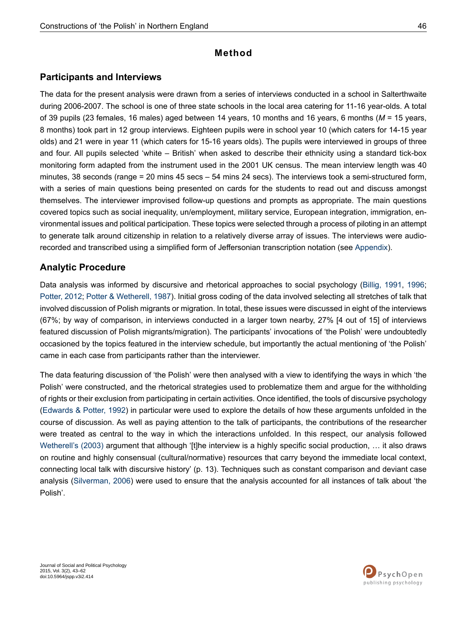# **Method**

# **Participants and Interviews**

The data for the present analysis were drawn from a series of interviews conducted in a school in Salterthwaite during 2006-2007. The school is one of three state schools in the local area catering for 11-16 year-olds. A total of 39 pupils (23 females, 16 males) aged between 14 years, 10 months and 16 years, 6 months (*M* = 15 years, 8 months) took part in 12 group interviews. Eighteen pupils were in school year 10 (which caters for 14-15 year olds) and 21 were in year 11 (which caters for 15-16 years olds). The pupils were interviewed in groups of three and four. All pupils selected 'white – British' when asked to describe their ethnicity using a standard tick-box monitoring form adapted from the instrument used in the 2001 UK census. The mean interview length was 40 minutes, 38 seconds (range = 20 mins 45 secs – 54 mins 24 secs). The interviews took a semi-structured form, with a series of main questions being presented on cards for the students to read out and discuss amongst themselves. The interviewer improvised follow-up questions and prompts as appropriate. The main questions covered topics such as social inequality, un/employment, military service, European integration, immigration, environmental issues and political participation. These topics were selected through a process of piloting in an attempt to generate talk around citizenship in relation to a relatively diverse array of issues. The interviews were audiorecorded and transcribed using a simplified form of Jeffersonian transcription notation (see [Appendix\)](#page-20-2).

# **Analytic Procedure**

Data analysis was informed by discursive and rhetorical approaches to social psychology ([Billig,](#page-16-4) 1991, [1996](#page-16-5); [Potter,](#page-19-4) 2012; Potter & [Wetherell,](#page-19-5) 1987). Initial gross coding of the data involved selecting all stretches of talk that involved discussion of Polish migrants or migration. In total, these issues were discussed in eight of the interviews (67%; by way of comparison, in interviews conducted in a larger town nearby, 27% [4 out of 15] of interviews featured discussion of Polish migrants/migration). The participants' invocations of 'the Polish' were undoubtedly occasioned by the topics featured in the interview schedule, but importantly the actual mentioning of 'the Polish' came in each case from participants rather than the interviewer.

The data featuring discussion of 'the Polish' were then analysed with a view to identifying the ways in which 'the Polish' were constructed, and the rhetorical strategies used to problematize them and argue for the withholding of rights or their exclusion from participating in certain activities. Once identified, the tools of discursive psychology [\(Edwards](#page-17-8) & Potter, 1992) in particular were used to explore the details of how these arguments unfolded in the course of discussion. As well as paying attention to the talk of participants, the contributions of the researcher were treated as central to the way in which the interactions unfolded. In this respect, our analysis followed [Wetherell's](#page-20-3) (2003) argument that although '[t]he interview is a highly specific social production, ... it also draws on routine and highly consensual (cultural/normative) resources that carry beyond the immediate local context, connecting local talk with discursive history' (p. 13). Techniques such as constant comparison and deviant case analysis ([Silverman,](#page-19-6) 2006) were used to ensure that the analysis accounted for all instances of talk about 'the Polish'.

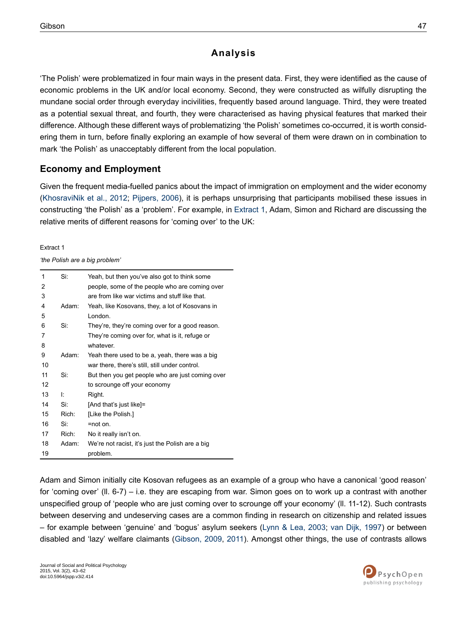# **Analysis**

'The Polish' were problematized in four main ways in the present data. First, they were identified as the cause of economic problems in the UK and/or local economy. Second, they were constructed as wilfully disrupting the mundane social order through everyday incivilities, frequently based around language. Third, they were treated as a potential sexual threat, and fourth, they were characterised as having physical features that marked their difference. Although these different ways of problematizing 'the Polish' sometimes co-occurred, it is worth considering them in turn, before finally exploring an example of how several of them were drawn on in combination to mark 'the Polish' as unacceptably different from the local population.

# **Economy and Employment**

Given the frequent media-fuelled panics about the impact of immigration on employment and the wider economy [\(KhosraviNik](#page-18-8) et al., 2012; [Pijpers,](#page-19-0) 2006), it is perhaps unsurprising that participants mobilised these issues in constructing 'the Polish' as a 'problem'. For example, in [Extract](#page-5-0) 1, Adam, Simon and Richard are discussing the relative merits of different reasons for 'coming over' to the UK:

<span id="page-5-0"></span>Extract 1

*'the Polish are a big problem'*

| 1  | Si:   | Yeah, but then you've also got to think some     |
|----|-------|--------------------------------------------------|
| 2  |       | people, some of the people who are coming over   |
| 3  |       | are from like war victims and stuff like that.   |
| 4  | Adam: | Yeah, like Kosovans, they, a lot of Kosovans in  |
| 5  |       | London.                                          |
| 6  | Si:   | They're, they're coming over for a good reason.  |
| 7  |       | They're coming over for, what is it, refuge or   |
| 8  |       | whatever.                                        |
| 9  | Adam: | Yeah there used to be a, yeah, there was a big   |
| 10 |       | war there, there's still, still under control.   |
| 11 | Si:   | But then you get people who are just coming over |
| 12 |       | to scrounge off your economy                     |
| 13 | Ŀ     | Right.                                           |
| 14 | Si.   | [And that's just like]=                          |
| 15 | Rich: | [Like the Polish.]                               |
| 16 | Si.   | $=$ not on.                                      |
| 17 | Rich: | No it really isn't on.                           |
| 18 | Adam: | We're not racist, it's just the Polish are a big |
| 19 |       | problem.                                         |

Adam and Simon initially cite Kosovan refugees as an example of a group who have a canonical 'good reason' for 'coming over' (ll. 6-7) – i.e. they are escaping from war. Simon goes on to work up a contrast with another unspecified group of 'people who are just coming over to scrounge off your economy' (ll. 11-12). Such contrasts between deserving and undeserving cases are a common finding in research on citizenship and related issues – for example between 'genuine' and 'bogus' asylum seekers (Lynn & Lea, [2003](#page-19-3); van Dijk, [1997\)](#page-19-7) or between disabled and 'lazy' welfare claimants ([Gibson,](#page-18-11) 2009, [2011](#page-18-1)). Amongst other things, the use of contrasts allows

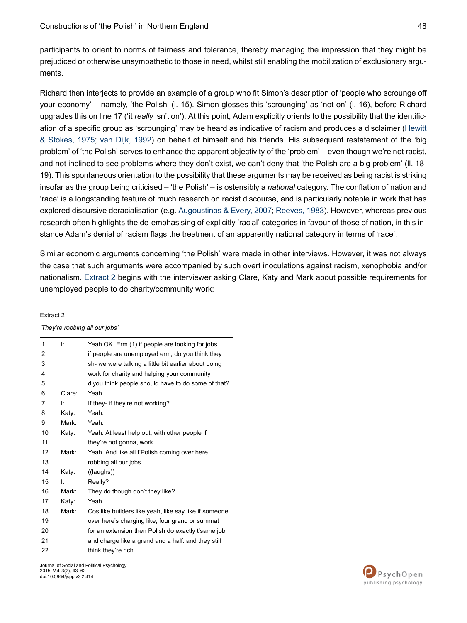participants to orient to norms of fairness and tolerance, thereby managing the impression that they might be prejudiced or otherwise unsympathetic to those in need, whilst still enabling the mobilization of exclusionary arguments.

Richard then interjects to provide an example of a group who fit Simon's description of 'people who scrounge off your economy' – namely, 'the Polish' (l. 15). Simon glosses this 'scrounging' as 'not on' (l. 16), before Richard upgrades this on line 17 ('it *really* isn't on'). At this point, Adam explicitly orients to the possibility that the identification of a specific group as 'scrounging' may be heard as indicative of racism and produces a disclaimer ([Hewitt](#page-18-12) & [Stokes,](#page-18-12) 1975; van Dijk, [1992](#page-19-8)) on behalf of himself and his friends. His subsequent restatement of the 'big problem' of 'the Polish' serves to enhance the apparent objectivity of the 'problem' – even though we're not racist, and not inclined to see problems where they don't exist, we can't deny that 'the Polish are a big problem' (ll. 18- 19). This spontaneous orientation to the possibility that these arguments may be received as being racist is striking insofar as the group being criticised – 'the Polish' – is ostensibly a *national* category. The conflation of nation and 'race' is a longstanding feature of much research on racist discourse, and is particularly notable in work that has explored discursive deracialisation (e.g. [Augoustinos](#page-16-1) & Every, 2007; [Reeves,](#page-19-9) 1983). However, whereas previous research often highlights the de-emphasising of explicitly 'racial' categories in favour of those of nation, in this instance Adam's denial of racism flags the treatment of an apparently national category in terms of 'race'.

<span id="page-6-0"></span>Similar economic arguments concerning 'the Polish' were made in other interviews. However, it was not always the case that such arguments were accompanied by such overt inoculations against racism, xenophobia and/or nationalism. [Extract](#page-6-0) 2 begins with the interviewer asking Clare, Katy and Mark about possible requirements for unemployed people to do charity/community work:

#### Extract 2

*'They're robbing all our jobs'*

| 1  | Ŀ.     | Yeah OK. Erm (1) if people are looking for jobs       |
|----|--------|-------------------------------------------------------|
| 2  |        | if people are unemployed erm, do you think they       |
| 3  |        | sh- we were talking a little bit earlier about doing  |
| 4  |        | work for charity and helping your community           |
| 5  |        | d'you think people should have to do some of that?    |
| 6  | Clare: | Yeah.                                                 |
| 7  | Ŀ      | If they- if they're not working?                      |
| 8  | Katy:  | Yeah.                                                 |
| 9  | Mark:  | Yeah.                                                 |
| 10 | Katy:  | Yeah. At least help out, with other people if         |
| 11 |        | they're not gonna, work.                              |
| 12 | Mark:  | Yeah. And like all t'Polish coming over here          |
| 13 |        | robbing all our jobs.                                 |
| 14 | Katy:  | ((laughs))                                            |
| 15 | Ŀ      | Really?                                               |
| 16 | Mark:  | They do though don't they like?                       |
| 17 | Katy:  | Yeah.                                                 |
| 18 | Mark:  | Cos like builders like yeah, like say like if someone |
| 19 |        | over here's charging like, four grand or summat       |
| 20 |        | for an extension then Polish do exactly t'same job    |
| 21 |        | and charge like a grand and a half. and they still    |
| 22 |        | think they're rich.                                   |

Journal of Social and Political Psychology 2015, Vol. 3(2), 43–62 doi:10.5964/jspp.v3i2.414

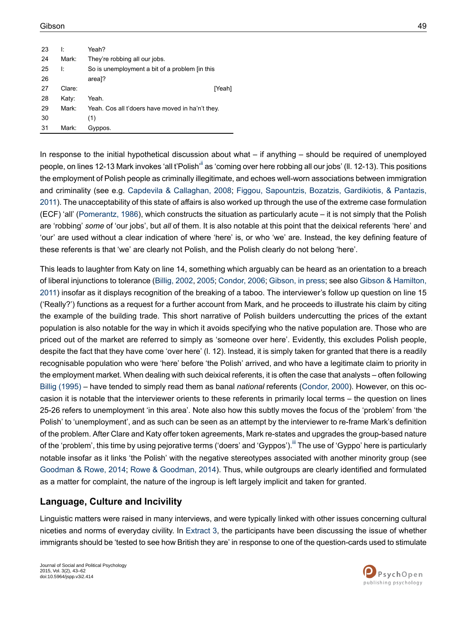| 23 | ŀ                 | Yeah?                                            |
|----|-------------------|--------------------------------------------------|
| 24 | Mark:             | They're robbing all our jobs.                    |
| 25 | Ŀ                 | So is unemployment a bit of a problem [in this   |
| 26 |                   | area]?                                           |
| 27 | Clare:            | [Yeah]                                           |
| 28 | Katy:             | Yeah.                                            |
| 29 | Mark <sup>.</sup> | Yeah. Cos all t'doers have moved in ha'n't they. |
| 30 |                   | (1)                                              |
| 31 | Mark:             | Gyppos.                                          |

In response to the initial hypothetical discussion about what – if anything – should be required of unemployed people, on lines 12-13 Mark invokes 'all t'Polish<sup>'[ii](#page-15-1)</sup> as 'coming over here robbing all our jobs' (II, 12-13). This positions the employment of Polish people as criminally illegitimate, and echoes well-worn associations between immigration and criminality (see e.g. Capdevila & [Callaghan,](#page-17-9) 2008; Figgou, [Sapountzis,](#page-17-10) Bozatzis, Gardikiotis, & Pantazis, [2011\)](#page-17-10). The unacceptability of this state of affairs is also worked up through the use of the extreme case formulation (ECF) 'all' ([Pomerantz,](#page-19-10) 1986), which constructs the situation as particularly acute – it is not simply that the Polish are 'robbing' *some* of 'our jobs', but *all* of them. It is also notable at this point that the deixical referents 'here' and 'our' are used without a clear indication of where 'here' is, or who 'we' are. Instead, the key defining feature of these referents is that 'we' are clearly not Polish, and the Polish clearly do not belong 'here'.

This leads to laughter from Katy on line 14, something which arguably can be heard as an orientation to a breach of liberal injunctions to tolerance ([Billig,](#page-16-6) 2002, [2005;](#page-17-11) [Condor,](#page-17-5) 2006; [Gibson,](#page-18-9) in press; see also Gibson & [Hamilton,](#page-18-2) [2011\)](#page-18-2) insofar as it displays recognition of the breaking of a taboo. The interviewer's follow up question on line 15 ('Really?') functions as a request for a further account from Mark, and he proceeds to illustrate his claim by citing the example of the building trade. This short narrative of Polish builders undercutting the prices of the extant population is also notable for the way in which it avoids specifying who the native population are. Those who are priced out of the market are referred to simply as 'someone over here'. Evidently, this excludes Polish people, despite the fact that they have come 'over here' (l. 12). Instead, it is simply taken for granted that there is a readily recognisable population who were 'here' before 'the Polish' arrived, and who have a legitimate claim to priority in the employment market. When dealing with such deixical referents, it is often the case that analysts – often following Billig [\(1995\)](#page-16-7) – have tended to simply read them as banal *national* referents [\(Condor,](#page-17-12) 2000). However, on this occasion it is notable that the interviewer orients to these referents in primarily local terms – the question on lines 25-26 refers to unemployment 'in this area'. Note also how this subtly moves the focus of the 'problem' from 'the Polish' to 'unemployment', and as such can be seen as an attempt by the interviewer to re-frame Mark's definition of the problem. After Clare and Katy offer token agreements, Mark re-states and upgrades the group-based nature of the 'problem', this time by using pejorative terms ('doers' and 'Gyppos'). The use of 'Gyppo' here is particularly notable insofar as it links 'the Polish' with the negative stereotypes associated with another minority group (see [Goodman](#page-18-6) & Rowe, 2014; Rowe & [Goodman,](#page-19-11) 2014). Thus, while outgroups are clearly identified and formulated as a matter for complaint, the nature of the ingroup is left largely implicit and taken for granted.

#### **Language, Culture and Incivility**

Linguistic matters were raised in many interviews, and were typically linked with other issues concerning cultural niceties and norms of everyday civility. In [Extract](#page-8-0) 3, the participants have been discussing the issue of whether immigrants should be 'tested to see how British they are' in response to one of the question-cards used to stimulate

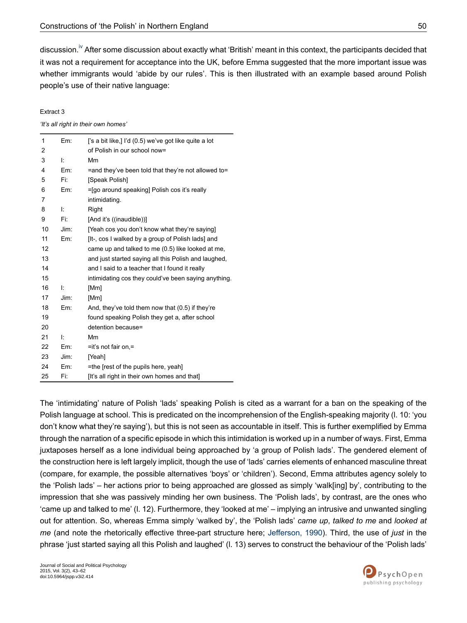discussion.<sup>Iv</sup> After some discussion about exactly what 'British' meant in this context, the participants decided that it was not a requirement for acceptance into the UK, before Emma suggested that the more important issue was whether immigrants would 'abide by our rules'. This is then illustrated with an example based around Polish people's use of their native language:

#### <span id="page-8-0"></span>Extract 3

*'It's all right in their own homes'*

| 1  | Em:  | ['s a bit like,] I'd (0.5) we've got like quite a lot |
|----|------|-------------------------------------------------------|
| 2  |      | of Polish in our school now=                          |
| 3  | Ŀ    | Mm                                                    |
| 4  | Em:  | =and they've been told that they're not allowed to=   |
| 5  | Fi:  | [Speak Polish]                                        |
| 6  | Em:  | =[go around speaking] Polish cos it's really          |
| 7  |      | intimidating.                                         |
| 8  | ŀ.   | Right                                                 |
| 9  | Fi:  | [And it's ((inaudible))]                              |
| 10 | Jim: | [Yeah cos you don't know what they're saying]         |
| 11 | Em:  | [It-, cos I walked by a group of Polish lads] and     |
| 12 |      | came up and talked to me (0.5) like looked at me,     |
| 13 |      | and just started saying all this Polish and laughed,  |
| 14 |      | and I said to a teacher that I found it really        |
| 15 |      | intimidating cos they could've been saying anything.  |
| 16 | Ŀ    | [Mm]                                                  |
| 17 | Jim: | [Mm]                                                  |
| 18 | Em:  | And, they've told them now that (0.5) if they're      |
| 19 |      | found speaking Polish they get a, after school        |
| 20 |      | detention because=                                    |
| 21 | Ŀ    | Mm                                                    |
| 22 | Em:  | $=$ it's not fair on $=$                              |
| 23 | Jim: | [Yeah]                                                |
| 24 | Em:  | =the [rest of the pupils here, yeah]                  |
| 25 | Fi:  | [It's all right in their own homes and that]          |

The 'intimidating' nature of Polish 'lads' speaking Polish is cited as a warrant for a ban on the speaking of the Polish language at school. This is predicated on the incomprehension of the English-speaking majority (l. 10: 'you don't know what they're saying'), but this is not seen as accountable in itself. This is further exemplified by Emma through the narration of a specific episode in which this intimidation is worked up in a number of ways. First, Emma juxtaposes herself as a lone individual being approached by 'a group of Polish lads'. The gendered element of the construction here is left largely implicit, though the use of 'lads' carries elements of enhanced masculine threat (compare, for example, the possible alternatives 'boys' or 'children'). Second, Emma attributes agency solely to the 'Polish lads' – her actions prior to being approached are glossed as simply 'walk[ing] by', contributing to the impression that she was passively minding her own business. The 'Polish lads', by contrast, are the ones who 'came up and talked to me' (l. 12). Furthermore, they 'looked at me' – implying an intrusive and unwanted singling out for attention. So, whereas Emma simply 'walked by', the 'Polish lads' *came up*, *talked to me* and *looked at me* (and note the rhetorically effective three-part structure here; [Jefferson,](#page-18-13) 1990). Third, the use of *just* in the phrase 'just started saying all this Polish and laughed' (l. 13) serves to construct the behaviour of the 'Polish lads'

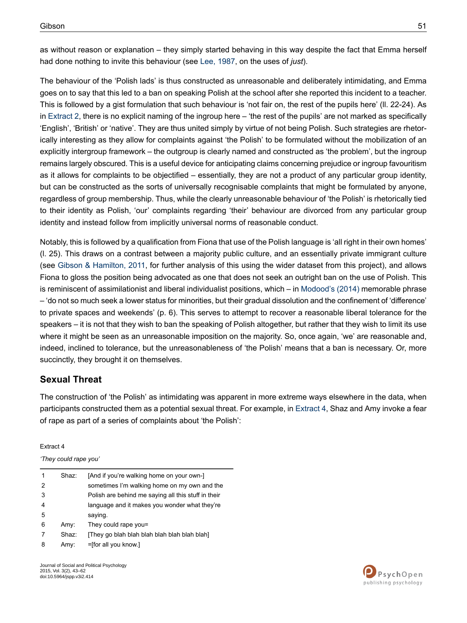as without reason or explanation – they simply started behaving in this way despite the fact that Emma herself had done nothing to invite this behaviour (see Lee, [1987,](#page-19-12) on the uses of *just*).

The behaviour of the 'Polish lads' is thus constructed as unreasonable and deliberately intimidating, and Emma goes on to say that this led to a ban on speaking Polish at the school after she reported this incident to a teacher. This is followed by a gist formulation that such behaviour is 'not fair on, the rest of the pupils here' (ll. 22-24). As in [Extract](#page-6-0) 2, there is no explicit naming of the ingroup here – 'the rest of the pupils' are not marked as specifically 'English', 'British' or 'native'. They are thus united simply by virtue of not being Polish. Such strategies are rhetorically interesting as they allow for complaints against 'the Polish' to be formulated without the mobilization of an explicitly intergroup framework – the outgroup is clearly named and constructed as 'the problem', but the ingroup remains largely obscured. This is a useful device for anticipating claims concerning prejudice or ingroup favouritism as it allows for complaints to be objectified – essentially, they are not a product of any particular group identity, but can be constructed as the sorts of universally recognisable complaints that might be formulated by anyone, regardless of group membership. Thus, while the clearly unreasonable behaviour of 'the Polish' is rhetorically tied to their identity as Polish, 'our' complaints regarding 'their' behaviour are divorced from any particular group identity and instead follow from implicitly universal norms of reasonable conduct.

Notably, this is followed by a qualification from Fiona that use of the Polish language is 'all right in their own homes' (l. 25). This draws on a contrast between a majority public culture, and an essentially private immigrant culture (see Gibson & [Hamilton,](#page-18-2) 2011, for further analysis of this using the wider dataset from this project), and allows Fiona to gloss the position being advocated as one that does not seek an outright ban on the use of Polish. This is reminiscent of assimilationist and liberal individualist positions, which – in [Modood's](#page-19-13) (2014) memorable phrase – 'do not so much seek a lower status for minorities, but their gradual dissolution and the confinement of 'difference' to private spaces and weekends' (p. 6). This serves to attempt to recover a reasonable liberal tolerance for the speakers – it is not that they wish to ban the speaking of Polish altogether, but rather that they wish to limit its use where it might be seen as an unreasonable imposition on the majority. So, once again, 'we' are reasonable and, indeed, inclined to tolerance, but the unreasonableness of 'the Polish' means that a ban is necessary. Or, more succinctly, they brought it on themselves.

# **Sexual Threat**

<span id="page-9-0"></span>The construction of 'the Polish' as intimidating was apparent in more extreme ways elsewhere in the data, when participants constructed them as a potential sexual threat. For example, in [Extract](#page-9-0) 4, Shaz and Amy invoke a fear of rape as part of a series of complaints about 'the Polish':

Extract 4

*'They could rape you'*

| 1 | Shaz: | [And if you're walking home on your own-]           |
|---|-------|-----------------------------------------------------|
| 2 |       | sometimes I'm walking home on my own and the        |
| 3 |       | Polish are behind me saying all this stuff in their |
| 4 |       | language and it makes you wonder what they're       |
| 5 |       | saying.                                             |
| 6 | Amy:  | They could rape you=                                |
| 7 | Shaz: | [They go blah blah blah blah blah blah blah]        |
| 8 | Amy:  | $=$ [for all you know.]                             |

Journal of Social and Political Psychology 2015, Vol. 3(2), 43–62 doi:10.5964/jspp.v3i2.414

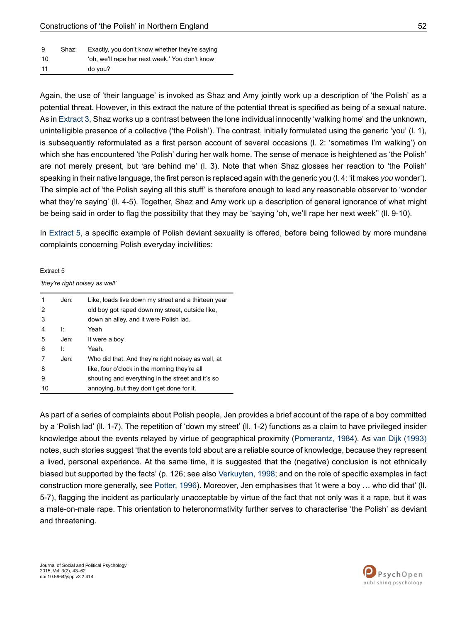| - 9 | Shaz: | Exactly, you don't know whether they're saying |
|-----|-------|------------------------------------------------|
| 10  |       | 'oh, we'll rape her next week.' You don't know |
| -11 |       | do vou?                                        |

Again, the use of 'their language' is invoked as Shaz and Amy jointly work up a description of 'the Polish' as a potential threat. However, in this extract the nature of the potential threat is specified as being of a sexual nature. As in [Extract](#page-8-0) 3, Shaz works up a contrast between the lone individual innocently 'walking home' and the unknown, unintelligible presence of a collective ('the Polish'). The contrast, initially formulated using the generic 'you' (l. 1), is subsequently reformulated as a first person account of several occasions (l. 2: 'sometimes I'm walking') on which she has encountered 'the Polish' during her walk home. The sense of menace is heightened as 'the Polish' are not merely present, but 'are behind me' (l. 3). Note that when Shaz glosses her reaction to 'the Polish' speaking in their native language, the first person is replaced again with the generic you (l.4: 'it makes *you* wonder'). The simple act of 'the Polish saying all this stuff' is therefore enough to lead any reasonable observer to 'wonder what they're saying' (II. 4-5). Together, Shaz and Amy work up a description of general ignorance of what might be being said in order to flag the possibility that they may be 'saying 'oh, we'll rape her next week'' (ll. 9-10).

<span id="page-10-0"></span>In [Extract](#page-10-0) 5, a specific example of Polish deviant sexuality is offered, before being followed by more mundane complaints concerning Polish everyday incivilities:

#### Extract 5

*'they're right noisey as well'*

| 1  | Jen: | Like, loads live down my street and a thirteen year |
|----|------|-----------------------------------------------------|
| 2  |      | old boy got raped down my street, outside like,     |
| 3  |      | down an alley, and it were Polish lad.              |
| 4  | Ŀ    | Yeah                                                |
| 5  | Jen: | It were a boy                                       |
| 6  | ŀ    | Yeah                                                |
|    | Jen: | Who did that. And they're right noisey as well, at  |
| 8  |      | like, four o'clock in the morning they're all       |
| 9  |      | shouting and everything in the street and it's so   |
| 10 |      | annoying, but they don't get done for it.           |

As part of a series of complaints about Polish people, Jen provides a brief account of the rape of a boy committed by a 'Polish lad' (ll. 1-7). The repetition of 'down my street' (ll. 1-2) functions as a claim to have privileged insider knowledge about the events relayed by virtue of geographical proximity ([Pomerantz,](#page-19-14) 1984). As van Dijk [\(1993\)](#page-19-15) notes, such stories suggest 'that the events told about are a reliable source of knowledge, because they represent a lived, personal experience. At the same time, it is suggested that the (negative) conclusion is not ethnically biased but supported by the facts' (p. 126; see also [Verkuyten,](#page-19-16) 1998; and on the role of specific examples in fact construction more generally, see [Potter,](#page-19-17) 1996). Moreover, Jen emphasises that 'it were a boy … who did that' (ll. 5-7), flagging the incident as particularly unacceptable by virtue of the fact that not only was it a rape, but it was a male-on-male rape. This orientation to heteronormativity further serves to characterise 'the Polish' as deviant and threatening.

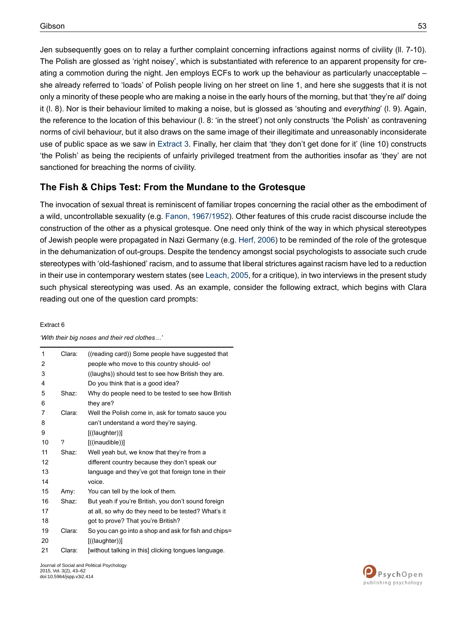Jen subsequently goes on to relay a further complaint concerning infractions against norms of civility (ll. 7-10). The Polish are glossed as 'right noisey', which is substantiated with reference to an apparent propensity for creating a commotion during the night. Jen employs ECFs to work up the behaviour as particularly unacceptable – she already referred to 'loads' of Polish people living on her street on line 1, and here she suggests that it is not only a minority of these people who are making a noise in the early hours of the morning, but that 'they're *all*' doing it (l. 8). Nor is their behaviour limited to making a noise, but is glossed as 'shouting and *everything*' (l. 9). Again, the reference to the location of this behaviour (l. 8: 'in the street') not only constructs 'the Polish' as contravening norms of civil behaviour, but it also draws on the same image of their illegitimate and unreasonably inconsiderate use of public space as we saw in [Extract](#page-8-0) 3. Finally, her claim that 'they don't get done for it' (line 10) constructs 'the Polish' as being the recipients of unfairly privileged treatment from the authorities insofar as 'they' are not sanctioned for breaching the norms of civility.

# **The Fish & Chips Test: From the Mundane to the Grotesque**

The invocation of sexual threat is reminiscent of familiar tropes concerning the racial other as the embodiment of a wild, uncontrollable sexuality (e.g. Fanon, [1967/1952](#page-17-13)). Other features of this crude racist discourse include the construction of the other as a physical grotesque. One need only think of the way in which physical stereotypes of Jewish people were propagated in Nazi Germany (e.g. Herf, [2006\)](#page-18-14) to be reminded of the role of the grotesque in the dehumanization of out-groups. Despite the tendency amongst social psychologists to associate such crude stereotypes with 'old-fashioned' racism, and to assume that liberal strictures against racism have led to a reduction in their use in contemporary western states (see [Leach,](#page-19-18) 2005, for a critique), in two interviews in the present study such physical stereotyping was used. As an example, consider the following extract, which begins with Clara reading out one of the question card prompts:

#### <span id="page-11-0"></span>Extract 6

| 1  | Clara: | ((reading card)) Some people have suggested that      |
|----|--------|-------------------------------------------------------|
| 2  |        | people who move to this country should-oo!            |
| 3  |        | ((laughs)) should test to see how British they are.   |
| 4  |        | Do you think that is a good idea?                     |
| 5  | Shaz:  | Why do people need to be tested to see how British    |
| 6  |        | they are?                                             |
| 7  | Clara: | Well the Polish come in, ask for tomato sauce you     |
| 8  |        | can't understand a word they're saying.               |
| 9  |        | $[($ (laughter))]                                     |
| 10 | ?      | $[($ (inaudible))]                                    |
| 11 | Shaz:  | Well yeah but, we know that they're from a            |
| 12 |        | different country because they don't speak our        |
| 13 |        | language and they've got that foreign tone in their   |
| 14 |        | voice.                                                |
| 15 | Amy:   | You can tell by the look of them.                     |
| 16 | Shaz:  | But yeah if you're British, you don't sound foreign   |
| 17 |        | at all, so why do they need to be tested? What's it   |
| 18 |        | got to prove? That you're British?                    |
| 19 | Clara: | So you can go into a shop and ask for fish and chips= |
| 20 |        | $[($ (laughter))]                                     |
| 21 | Clara: | [without talking in this] clicking tongues language.  |

*'With their big noses and their red clothes…'*

Journal of Social and Political Psychology 2015, Vol. 3(2), 43–62 doi:10.5964/jspp.v3i2.414

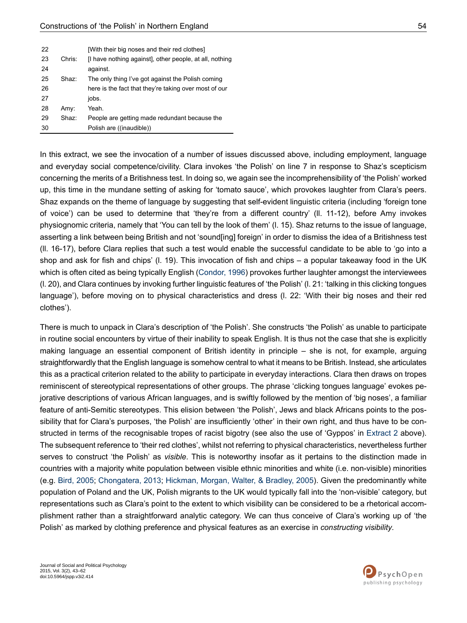| 22 |        | [With their big noses and their red clothes]            |
|----|--------|---------------------------------------------------------|
| 23 | Chris: | [I have nothing against], other people, at all, nothing |
| 24 |        | against.                                                |
| 25 | Shaz:  | The only thing I've got against the Polish coming       |
| 26 |        | here is the fact that they're taking over most of our   |
| 27 |        | jobs.                                                   |
| 28 | Amy:   | Yeah                                                    |
| 29 | Shaz:  | People are getting made redundant because the           |
| 30 |        | Polish are ((inaudible))                                |

In this extract, we see the invocation of a number of issues discussed above, including employment, language and everyday social competence/civility. Clara invokes 'the Polish' on line 7 in response to Shaz's scepticism concerning the merits of a Britishness test. In doing so, we again see the incomprehensibility of 'the Polish' worked up, this time in the mundane setting of asking for 'tomato sauce', which provokes laughter from Clara's peers. Shaz expands on the theme of language by suggesting that self-evident linguistic criteria (including 'foreign tone of voice') can be used to determine that 'they're from a different country' (ll. 11-12), before Amy invokes physiognomic criteria, namely that 'You can tell by the look of them' (l. 15). Shaz returns to the issue of language, asserting a link between being British and not 'sound[ing] foreign' in order to dismiss the idea of a Britishness test (ll. 16-17), before Clara replies that such a test would enable the successful candidate to be able to 'go into a shop and ask for fish and chips' (l. 19). This invocation of fish and chips – a popular takeaway food in the UK which is often cited as being typically English [\(Condor,](#page-17-14) 1996) provokes further laughter amongst the interviewees (l. 20), and Clara continues by invoking further linguistic features of 'the Polish' (l. 21: 'talking in this clicking tongues language'), before moving on to physical characteristics and dress (l. 22: 'With their big noses and their red clothes').

There is much to unpack in Clara's description of 'the Polish'. She constructs 'the Polish' as unable to participate in routine social encounters by virtue of their inability to speak English. It is thus not the case that she is explicitly making language an essential component of British identity in principle – she is not, for example, arguing straightforwardly that the English language is somehow central to what it means to be British. Instead, she articulates this as a practical criterion related to the ability to participate in everyday interactions. Clara then draws on tropes reminiscent of stereotypical representations of other groups. The phrase 'clicking tongues language' evokes pejorative descriptions of various African languages, and is swiftly followed by the mention of 'big noses', a familiar feature of anti-Semitic stereotypes. This elision between 'the Polish', Jews and black Africans points to the possibility that for Clara's purposes, 'the Polish' are insufficiently 'other' in their own right, and thus have to be constructed in terms of the recognisable tropes of racist bigotry (see also the use of 'Gyppos' in [Extract](#page-6-0) 2 above). The subsequent reference to 'their red clothes', whilst not referring to physical characteristics, nevertheless further serves to construct 'the Polish' as *visible*. This is noteworthy insofar as it pertains to the distinction made in countries with a majority white population between visible ethnic minorities and white (i.e. non-visible) minorities (e.g. Bird, [2005;](#page-17-15) [Chongatera,](#page-17-16) 2013; [Hickman,](#page-18-15) Morgan, Walter, & Bradley, 2005). Given the predominantly white population of Poland and the UK, Polish migrants to the UK would typically fall into the 'non-visible' category, but representations such as Clara's point to the extent to which visibility can be considered to be a rhetorical accomplishment rather than a straightforward analytic category. We can thus conceive of Clara's working up of 'the Polish' as marked by clothing preference and physical features as an exercise in *constructing visibility*.

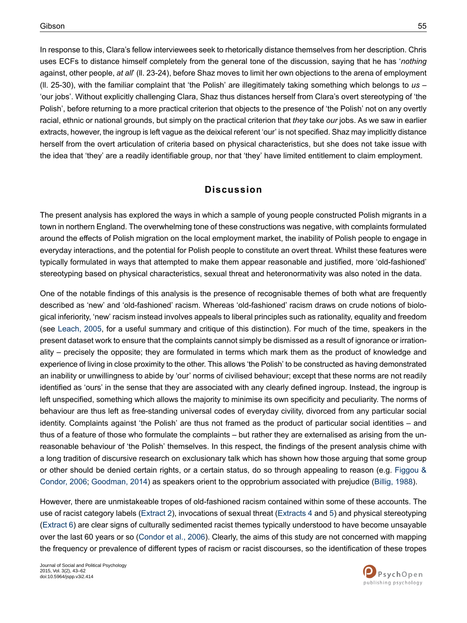In response to this, Clara's fellow interviewees seek to rhetorically distance themselves from her description. Chris uses ECFs to distance himself completely from the general tone of the discussion, saying that he has '*nothing* against, other people, *at all*' (ll. 23-24), before Shaz moves to limit her own objections to the arena of employment (ll. 25-30), with the familiar complaint that 'the Polish' are illegitimately taking something which belongs to *us* – 'our jobs'. Without explicitly challenging Clara, Shaz thus distances herself from Clara's overt stereotyping of 'the Polish', before returning to a more practical criterion that objects to the presence of 'the Polish' not on any overtly racial, ethnic or national grounds, but simply on the practical criterion that *they* take *our* jobs. As we saw in earlier extracts, however, the ingroup is left vague as the deixical referent 'our' is not specified. Shaz may implicitly distance herself from the overt articulation of criteria based on physical characteristics, but she does not take issue with the idea that 'they' are a readily identifiable group, nor that 'they' have limited entitlement to claim employment.

# **Discussion**

The present analysis has explored the ways in which a sample of young people constructed Polish migrants in a town in northern England. The overwhelming tone of these constructions was negative, with complaints formulated around the effects of Polish migration on the local employment market, the inability of Polish people to engage in everyday interactions, and the potential for Polish people to constitute an overt threat. Whilst these features were typically formulated in ways that attempted to make them appear reasonable and justified, more 'old-fashioned' stereotyping based on physical characteristics, sexual threat and heteronormativity was also noted in the data.

One of the notable findings of this analysis is the presence of recognisable themes of both what are frequently described as 'new' and 'old-fashioned' racism. Whereas 'old-fashioned' racism draws on crude notions of biological inferiority, 'new' racism instead involves appeals to liberal principles such as rationality, equality and freedom (see [Leach,](#page-19-18) 2005, for a useful summary and critique of this distinction). For much of the time, speakers in the present dataset work to ensure that the complaints cannot simply be dismissed as a result of ignorance or irrationality – precisely the opposite; they are formulated in terms which mark them as the product of knowledge and experience of living in close proximity to the other. This allows 'the Polish' to be constructed as having demonstrated an inability or unwillingness to abide by 'our' norms of civilised behaviour; except that these norms are not readily identified as 'ours' in the sense that they are associated with any clearly defined ingroup. Instead, the ingroup is left unspecified, something which allows the majority to minimise its own specificity and peculiarity. The norms of behaviour are thus left as free-standing universal codes of everyday civility, divorced from any particular social identity. Complaints against 'the Polish' are thus not framed as the product of particular social identities – and thus of a feature of those who formulate the complaints – but rather they are externalised as arising from the unreasonable behaviour of 'the Polish' themselves. In this respect, the findings of the present analysis chime with a long tradition of discursive research on exclusionary talk which has shown how those arguing that some group or other should be denied certain rights, or a certain status, do so through appealing to reason (e.g. [Figgou](#page-17-17) & [Condor,](#page-17-17) 2006; [Goodman,](#page-18-5) 2014) as speakers orient to the opprobrium associated with prejudice ([Billig,](#page-16-10) 1988).

However, there are unmistakeable tropes of old-fashioned racism contained within some of these accounts. The use of racist category labels [\(Extract](#page-6-0) 2), invocations of sexual threat [\(Extracts](#page-9-0) 4 and [5\)](#page-10-0) and physical stereotyping [\(Extract](#page-11-0) 6) are clear signs of culturally sedimented racist themes typically understood to have become unsayable over the last 60 years or so ([Condor](#page-17-6) et al., 2006). Clearly, the aims of this study are not concerned with mapping the frequency or prevalence of different types of racism or racist discourses, so the identification of these tropes

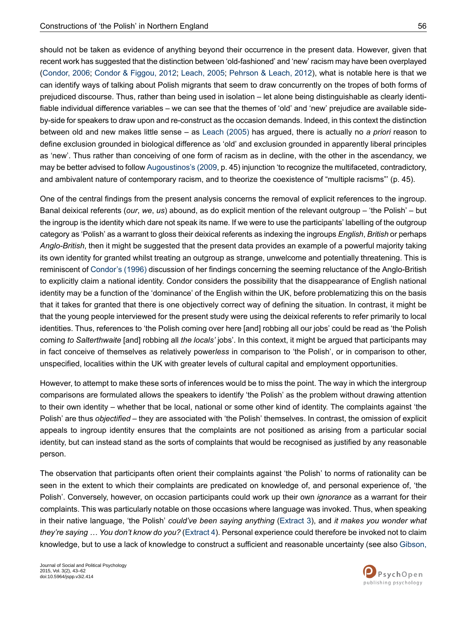should not be taken as evidence of anything beyond their occurrence in the present data. However, given that recent work has suggested that the distinction between 'old-fashioned' and 'new' racism may have been overplayed [\(Condor,](#page-17-5) 2006; Condor & [Figgou,](#page-17-18) 2012; [Leach,](#page-19-18) 2005; [Pehrson](#page-19-19) & Leach, 2012), what is notable here is that we can identify ways of talking about Polish migrants that seem to draw concurrently on the tropes of both forms of prejudiced discourse. Thus, rather than being used in isolation – let alone being distinguishable as clearly identifiable individual difference variables – we can see that the themes of 'old' and 'new' prejudice are available sideby-side for speakers to draw upon and re-construct as the occasion demands. Indeed, in this context the distinction between old and new makes little sense – as Leach [\(2005\)](#page-19-18) has argued, there is actually no *a priori* reason to define exclusion grounded in biological difference as 'old' and exclusion grounded in apparently liberal principles as 'new'. Thus rather than conceiving of one form of racism as in decline, with the other in the ascendancy, we may be better advised to follow [Augoustinos's](#page-16-11) (2009, p. 45) injunction 'to recognize the multifaceted, contradictory, and ambivalent nature of contemporary racism, and to theorize the coexistence of "multiple racisms"' (p. 45).

One of the central findings from the present analysis concerns the removal of explicit references to the ingroup. Banal deixical referents (*our*, *we*, *us*) abound, as do explicit mention of the relevant outgroup – 'the Polish' – but the ingroup is the identity which dare not speak its name. If we were to use the participants' labelling of the outgroup category as 'Polish' as a warrant to gloss their deixical referents as indexing the ingroups *English*, *British* or perhaps *Anglo-British*, then it might be suggested that the present data provides an example of a powerful majority taking its own identity for granted whilst treating an outgroup as strange, unwelcome and potentially threatening. This is reminiscent of [Condor's](#page-17-14) (1996) discussion of her findings concerning the seeming reluctance of the Anglo-British to explicitly claim a national identity. Condor considers the possibility that the disappearance of English national identity may be a function of the 'dominance' of the English within the UK, before problematizing this on the basis that it takes for granted that there is one objectively correct way of defining the situation. In contrast, it might be that the young people interviewed for the present study were using the deixical referents to refer primarily to local identities. Thus, references to 'the Polish coming over here [and] robbing all our jobs' could be read as 'the Polish coming *to Salterthwaite* [and] robbing all *the locals'* jobs'. In this context, it might be argued that participants may in fact conceive of themselves as relatively power*less* in comparison to 'the Polish', or in comparison to other, unspecified, localities within the UK with greater levels of cultural capital and employment opportunities.

However, to attempt to make these sorts of inferences would be to miss the point. The way in which the intergroup comparisons are formulated allows the speakers to identify 'the Polish' as the problem without drawing attention to their own identity – whether that be local, national or some other kind of identity. The complaints against 'the Polish' are thus *objectified* – they are associated with 'the Polish' themselves. In contrast, the omission of explicit appeals to ingroup identity ensures that the complaints are not positioned as arising from a particular social identity, but can instead stand as the sorts of complaints that would be recognised as justified by any reasonable person.

The observation that participants often orient their complaints against 'the Polish' to norms of rationality can be seen in the extent to which their complaints are predicated on knowledge of, and personal experience of, 'the Polish'. Conversely, however, on occasion participants could work up their own *ignorance* as a warrant for their complaints. This was particularly notable on those occasions where language was invoked. Thus, when speaking in their native language, 'the Polish' *could've been saying anything* ([Extract](#page-8-0) 3), and *it makes you wonder what they're saying … You don't know do you?* ([Extract](#page-9-0) 4). Personal experience could therefore be invoked not to claim knowledge, but to use a lack of knowledge to construct a sufficient and reasonable uncertainty (see also [Gibson,](#page-18-16)

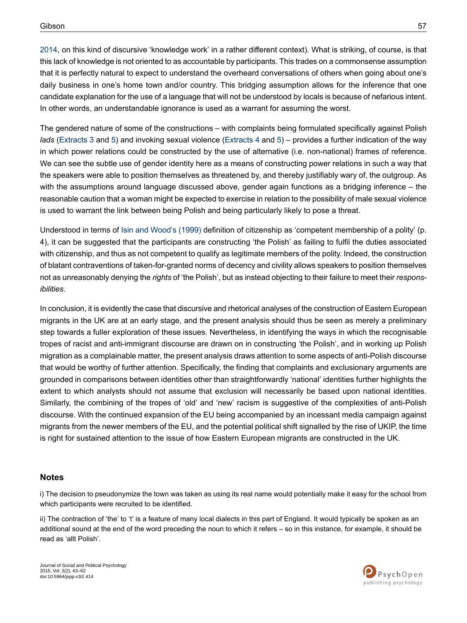[2014](#page-18-16), on this kind of discursive 'knowledge work' in a rather different context). What is striking, of course, is that this lack of knowledge is not oriented to as accountable by participants. This trades on a commonsense assumption that it is perfectly natural to expect to understand the overheard conversations of others when going about one's daily business in one's home town and/or country. This bridging assumption allows for the inference that one candidate explanation for the use of a language that will not be understood by locals is because of nefarious intent. In other words, an understandable ignorance is used as a warrant for assuming the worst.

The gendered nature of some of the constructions – with complaints being formulated specifically against Polish *lads* [\(Extracts](#page-8-0) 3 and [5\)](#page-10-0) and invoking sexual violence ([Extracts](#page-9-0) 4 and [5\)](#page-10-0) – provides a further indication of the way in which power relations could be constructed by the use of alternative (i.e. non-national) frames of reference. We can see the subtle use of gender identity here as a means of constructing power relations in such a way that the speakers were able to position themselves as threatened by, and thereby justifiably wary of, the outgroup. As with the assumptions around language discussed above, gender again functions as a bridging inference – the reasonable caution that a woman might be expected to exercise in relation to the possibility of male sexual violence is used to warrant the link between being Polish and being particularly likely to pose a threat.

Understood in terms of Isin and [Wood's](#page-18-0) (1999) definition of citizenship as 'competent membership of a polity' (p. 4), it can be suggested that the participants are constructing 'the Polish' as failing to fulfil the duties associated with citizenship, and thus as not competent to qualify as legitimate members of the polity. Indeed, the construction of blatant contraventions of taken-for-granted norms of decency and civility allows speakers to position themselves not as unreasonably denying the *rights* of 'the Polish', but as instead objecting to their failure to meet their *responsibilities*.

In conclusion, it is evidently the case that discursive and rhetorical analyses of the construction of Eastern European migrants in the UK are at an early stage, and the present analysis should thus be seen as merely a preliminary step towards a fuller exploration of these issues. Nevertheless, in identifying the ways in which the recognisable tropes of racist and anti-immigrant discourse are drawn on in constructing 'the Polish', and in working up Polish migration as a complainable matter, the present analysis draws attention to some aspects of anti-Polish discourse that would be worthy of further attention. Specifically, the finding that complaints and exclusionary arguments are grounded in comparisons between identities other than straightforwardly 'national' identities further highlights the extent to which analysts should not assume that exclusion will necessarily be based upon national identities. Similarly, the combining of the tropes of 'old' and 'new' racism is suggestive of the complexities of anti-Polish discourse. With the continued expansion of the EU being accompanied by an incessant media campaign against migrants from the newer members of the EU, and the potential political shift signalled by the rise of UKIP, the time is right for sustained attention to the issue of how Eastern European migrants are constructed in the UK.

#### <span id="page-15-1"></span><span id="page-15-0"></span>**Notes**

i) The decision to pseudonymize the town was taken as using its real name would potentially make it easy for the school from which participants were recruited to be identified.

ii) The contraction of 'the' to 't' is a feature of many local dialects in this part of England. It would typically be spoken as an additional sound at the end of the word preceding the noun to which it refers – so in this instance, for example, it should be read as 'allt Polish'.

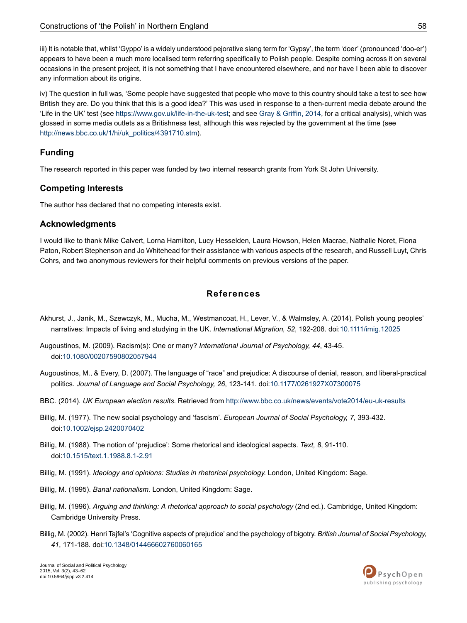<span id="page-16-8"></span>iii) It is notable that, whilst 'Gyppo' is a widely understood pejorative slang term for 'Gypsy', the term 'doer' (pronounced 'doo-er') appears to have been a much more localised term referring specifically to Polish people. Despite coming across it on several occasions in the present project, it is not something that I have encountered elsewhere, and nor have I been able to discover any information about its origins.

<span id="page-16-9"></span>iv) The question in full was, 'Some people have suggested that people who move to this country should take a test to see how British they are. Do you think that this is a good idea?' This was used in response to a then-current media debate around the 'Life in the UK' test (see [https://www.gov.uk/life-in-the-uk-test;](https://www.gov.uk/life-in-the-uk-test) and see Gray & [Griffin,](#page-18-17) 2014, for a critical analysis), which was glossed in some media outlets as a Britishness test, although this was rejected by the government at the time (see [http://news.bbc.co.uk/1/hi/uk\\_politics/4391710.stm](http://news.bbc.co.uk/1/hi/uk_politics/4391710.stm)).

#### **Funding**

The research reported in this paper was funded by two internal research grants from York St John University.

#### **Competing Interests**

The author has declared that no competing interests exist.

#### **Acknowledgments**

I would like to thank Mike Calvert, Lorna Hamilton, Lucy Hesselden, Laura Howson, Helen Macrae, Nathalie Noret, Fiona Paton, Robert Stephenson and Jo Whitehead for their assistance with various aspects of the research, and Russell Luyt, Chris Cohrs, and two anonymous reviewers for their helpful comments on previous versions of the paper.

### **References**

- <span id="page-16-11"></span><span id="page-16-0"></span>Akhurst, J., Janik, M., Szewczyk, M., Mucha, M., Westmancoat, H., Lever, V., & Walmsley, A. (2014). Polish young peoples' narratives: Impacts of living and studying in the UK. *International Migration, 52*, 192-208. doi:[10.1111/imig.12025](http://dx.doi.org/10.1111%2Fimig.12025)
- <span id="page-16-1"></span>Augoustinos, M. (2009). Racism(s): One or many? *International Journal of Psychology, 44*, 43-45. doi:[10.1080/00207590802057944](http://dx.doi.org/10.1080%2F00207590802057944)
- <span id="page-16-3"></span><span id="page-16-2"></span>Augoustinos, M., & Every, D. (2007). The language of "race" and prejudice: A discourse of denial, reason, and liberal-practical politics. *Journal of Language and Social Psychology, 26*, 123-141. doi:[10.1177/0261927X07300075](http://dx.doi.org/10.1177%2F0261927X07300075)
- <span id="page-16-10"></span>BBC. (2014). *UK European election results.* Retrieved from <http://www.bbc.co.uk/news/events/vote2014/eu-uk-results>
- <span id="page-16-4"></span>Billig, M. (1977). The new social psychology and 'fascism'. *European Journal of Social Psychology, 7*, 393-432. doi:[10.1002/ejsp.2420070402](http://dx.doi.org/10.1002%2Fejsp.2420070402)
- <span id="page-16-7"></span><span id="page-16-5"></span>Billig, M. (1988). The notion of 'prejudice': Some rhetorical and ideological aspects. *Text, 8*, 91-110. doi:[10.1515/text.1.1988.8.1-2.91](http://dx.doi.org/10.1515%2Ftext.1.1988.8.1-2.91)
- <span id="page-16-6"></span>Billig, M. (1991). *Ideology and opinions: Studies in rhetorical psychology.* London, United Kingdom: Sage.
- Billig, M. (1995). *Banal nationalism.* London, United Kingdom: Sage.
- Billig, M. (1996). *Arguing and thinking: A rhetorical approach to social psychology* (2nd ed.). Cambridge, United Kingdom: Cambridge University Press.
- Billig, M. (2002). Henri Tajfel's 'Cognitive aspects of prejudice' and the psychology of bigotry. *British Journal of Social Psychology, 41*, 171-188. doi:[10.1348/014466602760060165](http://dx.doi.org/10.1348%2F014466602760060165)

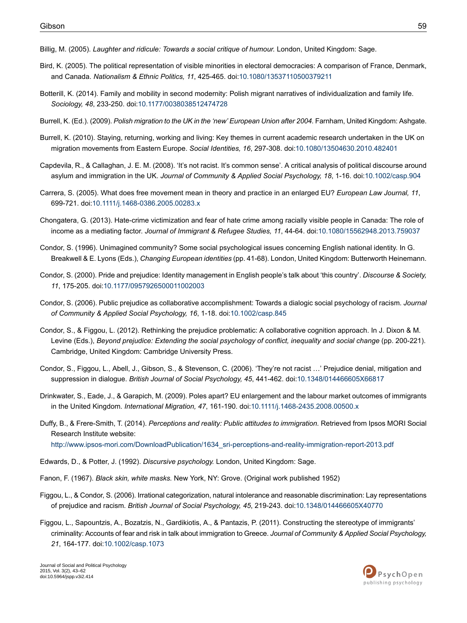- <span id="page-17-11"></span>Billig, M. (2005). *Laughter and ridicule: Towards a social critique of humour.* London, United Kingdom: Sage.
- <span id="page-17-15"></span>Bird, K. (2005). The political representation of visible minorities in electoral democracies: A comparison of France, Denmark, and Canada. *Nationalism & Ethnic Politics, 11*, 425-465. doi:[10.1080/13537110500379211](http://dx.doi.org/10.1080%2F13537110500379211)
- <span id="page-17-3"></span>Botterill, K. (2014). Family and mobility in second modernity: Polish migrant narratives of individualization and family life. *Sociology, 48*, 233-250. doi[:10.1177/0038038512474728](http://dx.doi.org/10.1177%2F0038038512474728)
- <span id="page-17-7"></span><span id="page-17-4"></span>Burrell, K. (Ed.). (2009). *Polish migration to the UK in the 'new' European Union after 2004.* Farnham, United Kingdom: Ashgate.
- <span id="page-17-9"></span>Burrell, K. (2010). Staying, returning, working and living: Key themes in current academic research undertaken in the UK on migration movements from Eastern Europe. *Social Identities, 16*, 297-308. doi[:10.1080/13504630.2010.482401](http://dx.doi.org/10.1080%2F13504630.2010.482401)
- <span id="page-17-0"></span>Capdevila, R., & Callaghan, J. E. M. (2008). 'It's not racist. It's common sense'. A critical analysis of political discourse around asylum and immigration in the UK. *Journal of Community & Applied Social Psychology, 18*, 1-16. doi[:10.1002/casp.904](http://dx.doi.org/10.1002%2Fcasp.904)
- <span id="page-17-16"></span>Carrera, S. (2005). What does free movement mean in theory and practice in an enlarged EU? *European Law Journal, 11*, 699-721. doi:[10.1111/j.1468-0386.2005.00283.x](http://dx.doi.org/10.1111%2Fj.1468-0386.2005.00283.x)
- <span id="page-17-14"></span>Chongatera, G. (2013). Hate-crime victimization and fear of hate crime among racially visible people in Canada: The role of income as a mediating factor. *Journal of Immigrant & Refugee Studies, 11*, 44-64. doi:[10.1080/15562948.2013.759037](http://dx.doi.org/10.1080%2F15562948.2013.759037)
- <span id="page-17-12"></span>Condor, S. (1996). Unimagined community? Some social psychological issues concerning English national identity. In G. Breakwell & E. Lyons (Eds.), *Changing European identities* (pp. 41-68). London, United Kingdom: Butterworth Heinemann.
- <span id="page-17-5"></span>Condor, S. (2000). Pride and prejudice: Identity management in English people's talk about 'this country'. *Discourse & Society, 11*, 175-205. doi[:10.1177/0957926500011002003](http://dx.doi.org/10.1177%2F0957926500011002003)
- <span id="page-17-18"></span>Condor, S. (2006). Public prejudice as collaborative accomplishment: Towards a dialogic social psychology of racism. *Journal of Community & Applied Social Psychology, 16*, 1-18. doi:[10.1002/casp.845](http://dx.doi.org/10.1002%2Fcasp.845)
- <span id="page-17-6"></span>Condor, S., & Figgou, L. (2012). Rethinking the prejudice problematic: A collaborative cognition approach. In J. Dixon & M. Levine (Eds.), *Beyond prejudice: Extending the social psychology of conflict, inequality and social change* (pp. 200-221). Cambridge, United Kingdom: Cambridge University Press.
- <span id="page-17-2"></span><span id="page-17-1"></span>Condor, S., Figgou, L., Abell, J., Gibson, S., & Stevenson, C. (2006). 'They're not racist …' Prejudice denial, mitigation and suppression in dialogue. *British Journal of Social Psychology, 45*, 441-462. doi:[10.1348/014466605X66817](http://dx.doi.org/10.1348%2F014466605X66817)
- Drinkwater, S., Eade, J., & Garapich, M. (2009). Poles apart? EU enlargement and the labour market outcomes of immigrants in the United Kingdom. *International Migration, 47*, 161-190. doi[:10.1111/j.1468-2435.2008.00500.x](http://dx.doi.org/10.1111%2Fj.1468-2435.2008.00500.x)
- <span id="page-17-13"></span><span id="page-17-8"></span>Duffy, B., & Frere-Smith, T. (2014). *Perceptions and reality: Public attitudes to immigration.* Retrieved from Ipsos MORI Social Research Institute website:
	- [http://www.ipsos-mori.com/DownloadPublication/1634\\_sri-perceptions-and-reality-immigration-report-2013.pdf](http://www.ipsos-mori.com/DownloadPublication/1634_sri-perceptions-and-reality-immigration-report-2013.pdf)
- <span id="page-17-17"></span><span id="page-17-10"></span>Edwards, D., & Potter, J. (1992). *Discursive psychology.* London, United Kingdom: Sage.
- Fanon, F. (1967). *Black skin, white masks.* New York, NY: Grove. (Original work published 1952)
- Figgou, L., & Condor, S. (2006). Irrational categorization, natural intolerance and reasonable discrimination: Lay representations of prejudice and racism. *British Journal of Social Psychology, 45*, 219-243. doi[:10.1348/014466605X40770](http://dx.doi.org/10.1348%2F014466605X40770)
- Figgou, L., Sapountzis, A., Bozatzis, N., Gardikiotis, A., & Pantazis, P. (2011). Constructing the stereotype of immigrants' criminality: Accounts of fear and risk in talk about immigration to Greece. *Journal of Community & Applied Social Psychology, 21*, 164-177. doi:[10.1002/casp.1073](http://dx.doi.org/10.1002%2Fcasp.1073)

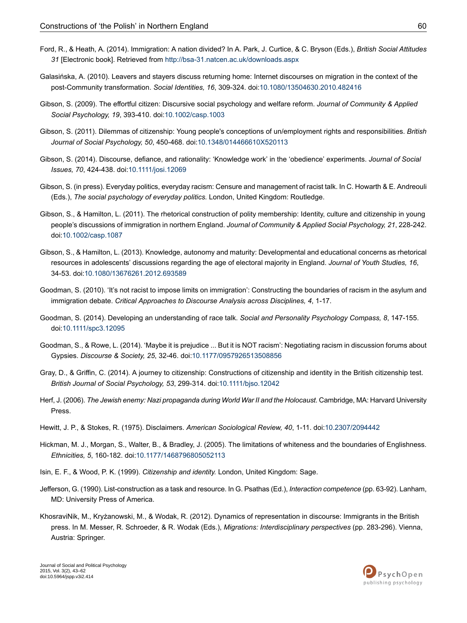- <span id="page-18-7"></span>Ford, R., & Heath, A. (2014). Immigration: A nation divided? In A. Park, J. Curtice, & C. Bryson (Eds.), *British Social Attitudes 31* [Electronic book]. Retrieved from <http://bsa-31.natcen.ac.uk/downloads.aspx>
- <span id="page-18-3"></span>Galasińska, A. (2010). Leavers and stayers discuss returning home: Internet discourses on migration in the context of the post-Community transformation. *Social Identities, 16*, 309-324. doi[:10.1080/13504630.2010.482416](http://dx.doi.org/10.1080%2F13504630.2010.482416)
- <span id="page-18-11"></span><span id="page-18-1"></span>Gibson, S. (2009). The effortful citizen: Discursive social psychology and welfare reform. *Journal of Community & Applied Social Psychology, 19*, 393-410. doi[:10.1002/casp.1003](http://dx.doi.org/10.1002%2Fcasp.1003)
- <span id="page-18-16"></span>Gibson, S. (2011). Dilemmas of citizenship: Young people's conceptions of un/employment rights and responsibilities. *British Journal of Social Psychology, 50*, 450-468. doi[:10.1348/014466610X520113](http://dx.doi.org/10.1348%2F014466610X520113)
- <span id="page-18-9"></span>Gibson, S. (2014). Discourse, defiance, and rationality: 'Knowledge work' in the 'obedience' experiments. *Journal of Social Issues, 70*, 424-438. doi:[10.1111/josi.12069](http://dx.doi.org/10.1111%2Fjosi.12069)
- <span id="page-18-2"></span>Gibson, S. (in press). Everyday politics, everyday racism: Censure and management of racist talk. In C. Howarth & E. Andreouli (Eds.), *The social psychology of everyday politics.* London, United Kingdom: Routledge.
- <span id="page-18-10"></span>Gibson, S., & Hamilton, L. (2011). The rhetorical construction of polity membership: Identity, culture and citizenship in young people's discussions of immigration in northern England. *Journal of Community & Applied Social Psychology, 21*, 228-242. doi:[10.1002/casp.1087](http://dx.doi.org/10.1002%2Fcasp.1087)
- <span id="page-18-4"></span>Gibson, S., & Hamilton, L. (2013). Knowledge, autonomy and maturity: Developmental and educational concerns as rhetorical resources in adolescents' discussions regarding the age of electoral majority in England. *Journal of Youth Studies, 16*, 34-53. doi:[10.1080/13676261.2012.693589](http://dx.doi.org/10.1080%2F13676261.2012.693589)
- <span id="page-18-5"></span>Goodman, S. (2010). 'It's not racist to impose limits on immigration': Constructing the boundaries of racism in the asylum and immigration debate. *Critical Approaches to Discourse Analysis across Disciplines, 4*, 1-17.
- <span id="page-18-6"></span>Goodman, S. (2014). Developing an understanding of race talk. *Social and Personality Psychology Compass, 8*, 147-155. doi:[10.1111/spc3.12095](http://dx.doi.org/10.1111%2Fspc3.12095)
- <span id="page-18-17"></span>Goodman, S., & Rowe, L. (2014). 'Maybe it is prejudice ... But it is NOT racism': Negotiating racism in discussion forums about Gypsies. *Discourse & Society, 25*, 32-46. doi:[10.1177/0957926513508856](http://dx.doi.org/10.1177%2F0957926513508856)
- <span id="page-18-14"></span><span id="page-18-12"></span>Gray, D., & Griffin, C. (2014). A journey to citizenship: Constructions of citizenship and identity in the British citizenship test. *British Journal of Social Psychology, 53*, 299-314. doi[:10.1111/bjso.12042](http://dx.doi.org/10.1111%2Fbjso.12042)
- <span id="page-18-15"></span>Herf, J. (2006). *The Jewish enemy: Nazi propaganda during World War II and the Holocaust*. Cambridge, MA: Harvard University Press.
- <span id="page-18-0"></span>Hewitt, J. P., & Stokes, R. (1975). Disclaimers. *American Sociological Review, 40*, 1-11. doi:[10.2307/2094442](http://dx.doi.org/10.2307%2F2094442)
- <span id="page-18-13"></span>Hickman, M. J., Morgan, S., Walter, B., & Bradley, J. (2005). The limitations of whiteness and the boundaries of Englishness. *Ethnicities, 5*, 160-182. doi:[10.1177/1468796805052113](http://dx.doi.org/10.1177%2F1468796805052113)
- <span id="page-18-8"></span>Isin, E. F., & Wood, P. K. (1999). *Citizenship and identity.* London, United Kingdom: Sage.
- Jefferson, G. (1990). List-construction as a task and resource. In G. Psathas (Ed.), *Interaction competence* (pp. 63-92). Lanham, MD: University Press of America.
- KhosraviNik, M., Kryżanowski, M., & Wodak, R. (2012). Dynamics of representation in discourse: Immigrants in the British press. In M. Messer, R. Schroeder, & R. Wodak (Eds.), *Migrations: Interdisciplinary perspectives* (pp. 283-296). Vienna, Austria: Springer.

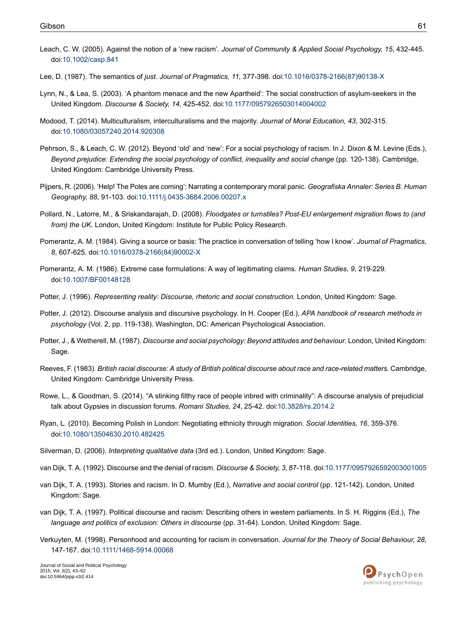- <span id="page-19-18"></span>Leach, C. W. (2005). Against the notion of a 'new racism'. *Journal of Community & Applied Social Psychology, 15*, 432-445. doi:[10.1002/casp.841](http://dx.doi.org/10.1002%2Fcasp.841)
- <span id="page-19-12"></span><span id="page-19-3"></span>Lee, D. (1987). The semantics of *just. Journal of Pragmatics, 11*, 377-398. doi[:10.1016/0378-2166\(87\)90138-X](http://dx.doi.org/10.1016%2F0378-2166%2887%2990138-X)
- Lynn, N., & Lea, S. (2003). 'A phantom menace and the new Apartheid': The social construction of asylum-seekers in the United Kingdom. *Discourse & Society, 14*, 425-452. doi[:10.1177/0957926503014004002](http://dx.doi.org/10.1177%2F0957926503014004002)
- <span id="page-19-19"></span><span id="page-19-13"></span>Modood, T. (2014). Multiculturalism, interculturalisms and the majority. *Journal of Moral Education, 43*, 302-315. doi:[10.1080/03057240.2014.920308](http://dx.doi.org/10.1080%2F03057240.2014.920308)
- <span id="page-19-0"></span>Pehrson, S., & Leach, C. W. (2012). Beyond 'old' and 'new': For a social psychology of racism. In J. Dixon & M. Levine (Eds.), *Beyond prejudice: Extending the social psychology of conflict, inequality and social change* (pp. 120-138). Cambridge, United Kingdom: Cambridge University Press.
- <span id="page-19-1"></span>Pijpers, R. (2006). 'Help! The Poles are coming': Narrating a contemporary moral panic. *Geografiska Annaler: Series B. Human Geography, 88*, 91-103. doi:[10.1111/j.0435-3684.2006.00207.x](http://dx.doi.org/10.1111%2Fj.0435-3684.2006.00207.x)
- <span id="page-19-14"></span>Pollard, N., Latorre, M., & Sriskandarajah, D. (2008). *Floodgates or turnstiles? Post-EU enlargement migration flows to (and from) the UK.* London, United Kingdom: Institute for Public Policy Research.
- <span id="page-19-10"></span>Pomerantz, A. M. (1984). Giving a source or basis: The practice in conversation of telling 'how I know'. *Journal of Pragmatics, 8*, 607-625. doi:[10.1016/0378-2166\(84\)90002-X](http://dx.doi.org/10.1016%2F0378-2166%2884%2990002-X)
- <span id="page-19-17"></span><span id="page-19-4"></span>Pomerantz, A. M. (1986). Extreme case formulations: A way of legitimating claims. *Human Studies, 9*, 219-229. doi:[10.1007/BF00148128](http://dx.doi.org/10.1007%2FBF00148128)
- Potter, J. (1996). *Representing reality: Discourse, rhetoric and social construction.* London, United Kingdom: Sage.
- <span id="page-19-5"></span>Potter, J. (2012). Discourse analysis and discursive psychology. In H. Cooper (Ed.), *APA handbook of research methods in psychology* (Vol. 2, pp. 119-138). Washington, DC: American Psychological Association.
- <span id="page-19-9"></span>Potter, J., & Wetherell, M. (1987). *Discourse and social psychology: Beyond attitudes and behaviour*. London, United Kingdom: Sage.
- <span id="page-19-11"></span><span id="page-19-2"></span>Reeves, F. (1983). British racial discourse: A study of British political discourse about race and race-related matters. Cambridge, United Kingdom: Cambridge University Press.
- <span id="page-19-6"></span>Rowe, L., & Goodman, S. (2014). "A stinking filthy race of people inbred with criminality": A discourse analysis of prejudicial talk about Gypsies in discussion forums. *Romani Studies, 24*, 25-42. doi[:10.3828/rs.2014.2](http://dx.doi.org/10.3828%2Frs.2014.2)
- <span id="page-19-15"></span><span id="page-19-8"></span>Ryan, L. (2010). Becoming Polish in London: Negotiating ethnicity through migration. *Social Identities, 16*, 359-376. doi:[10.1080/13504630.2010.482425](http://dx.doi.org/10.1080%2F13504630.2010.482425)
- Silverman, D. (2006). *Interpreting qualitative data* (3rd ed.). London, United Kingdom: Sage.
- <span id="page-19-7"></span>van Dijk, T. A. (1992). Discourse and the denial of racism. *Discourse & Society, 3*, 87-118. doi:[10.1177/0957926592003001005](http://dx.doi.org/10.1177%2F0957926592003001005)
- <span id="page-19-16"></span>van Dijk, T. A. (1993). Stories and racism. In D. Mumby (Ed.), *Narrative and social control* (pp. 121-142). London, United Kingdom: Sage.
- van Dijk, T. A. (1997). Political discourse and racism: Describing others in western parliaments. In S. H. Riggins (Ed.), *The language and politics of exclusion: Others in discourse* (pp. 31-64). London, United Kingdom: Sage.
- Verkuyten, M. (1998). Personhood and accounting for racism in conversation. *Journal for the Theory of Social Behaviour, 28*, 147-167. doi:[10.1111/1468-5914.00068](http://dx.doi.org/10.1111%2F1468-5914.00068)